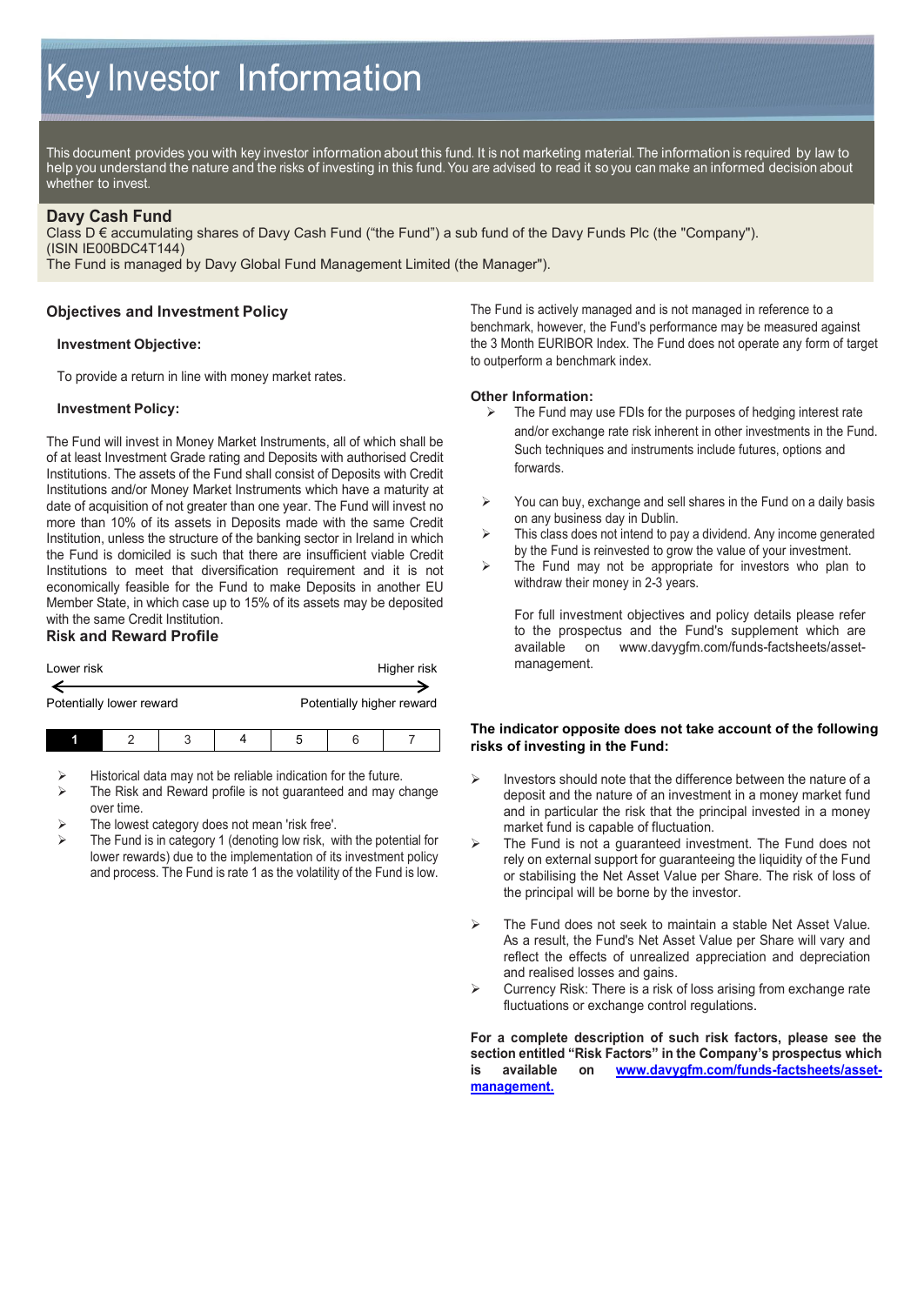# Key Investor Information

This document provides you with key investor information about this fund. It is not marketing material. The information is required by law to help you understand the nature and the risks of investing in this fund. You are advised to read it so you can make an informed decision about whether to invest.

## **Davy Cash Fund**

Class D € accumulating shares of Davy Cash Fund ("the Fund") a sub fund of the Davy Funds Plc (the "Company"). (ISIN IE00BDC4T144)

The Fund is managed by Davy Global Fund Management Limited (the Manager").

# **Objectives and Investment Policy**

### **Investment Objective:**

To provide a return in line with money market rates.

### **Investment Policy:**

The Fund will invest in Money Market Instruments, all of which shall be of at least Investment Grade rating and Deposits with authorised Credit Institutions. The assets of the Fund shall consist of Deposits with Credit Institutions and/or Money Market Instruments which have a maturity at date of acquisition of not greater than one year. The Fund will invest no more than 10% of its assets in Deposits made with the same Credit Institution, unless the structure of the banking sector in Ireland in which the Fund is domiciled is such that there are insufficient viable Credit Institutions to meet that diversification requirement and it is not economically feasible for the Fund to make Deposits in another EU Member State, in which case up to 15% of its assets may be deposited with the same Credit Institution.

# **Risk and Reward Profile**

| Lower risk               |   | Higher risk |   |                           |  |
|--------------------------|---|-------------|---|---------------------------|--|
|                          |   |             |   |                           |  |
| Potentially lower reward |   |             |   | Potentially higher reward |  |
|                          | 2 |             | b |                           |  |

Historical data may not be reliable indication for the future.

- The Risk and Reward profile is not guaranteed and may change over time.
- The lowest category does not mean 'risk free'.
- The Fund is in category 1 (denoting low risk, with the potential for lower rewards) due to the implementation of its investment policy and process. The Fund is rate 1 as the volatility of the Fund is low.

The Fund is actively managed and is not managed in reference to a benchmark, however, the Fund's performance may be measured against the 3 Month EURIBOR Index. The Fund does not operate any form of target to outperform a benchmark index.

# **Other Information:**<br> **Example Fund may**

- The Fund may use FDIs for the purposes of hedging interest rate and/or exchange rate risk inherent in other investments in the Fund. Such techniques and instruments include futures, options and forwards.
- $\triangleright$  You can buy, exchange and sell shares in the Fund on a daily basis on any business day in Dublin.
- $\triangleright$  This class does not intend to pay a dividend. Any income generated by the Fund is reinvested to grow the value of your investment.
- $\triangleright$  The Fund may not be appropriate for investors who plan to withdraw their money in 2-3 years.

For full investment objectives and policy details please refer to the prospectus and the Fund's supplement which are available on [www.davygfm.com/funds-factsheets/asset](http://www.davygfm.com/funds-factsheets/asset-management)[management.](http://www.davygfm.com/funds-factsheets/asset-management)

### **The indicator opposite does not take account of the following risks of investing in the Fund:**

- $\triangleright$  Investors should note that the difference between the nature of a deposit and the nature of an investment in a money market fund and in particular the risk that the principal invested in a money market fund is capable of fluctuation.
- $\triangleright$  The Fund is not a quaranteed investment. The Fund does not rely on external support for guaranteeing the liquidity of the Fund or stabilising the Net Asset Value per Share. The risk of loss of the principal will be borne by the investor.
- The Fund does not seek to maintain a stable Net Asset Value. As a result, the Fund's Net Asset Value per Share will vary and reflect the effects of unrealized appreciation and depreciation and realised losses and gains.
- $\triangleright$  Currency Risk: There is a risk of loss arising from exchange rate fluctuations or exchange control regulations.

**For a complete description of such risk factors, please see the section entitled "Risk Factors" in the Company's prospectus which is available on [www.davygfm.com/funds-factsheets/asset](http://www.davygfm.com/funds-factsheets/asset-management)[management.](http://www.davygfm.com/funds-factsheets/asset-management)**